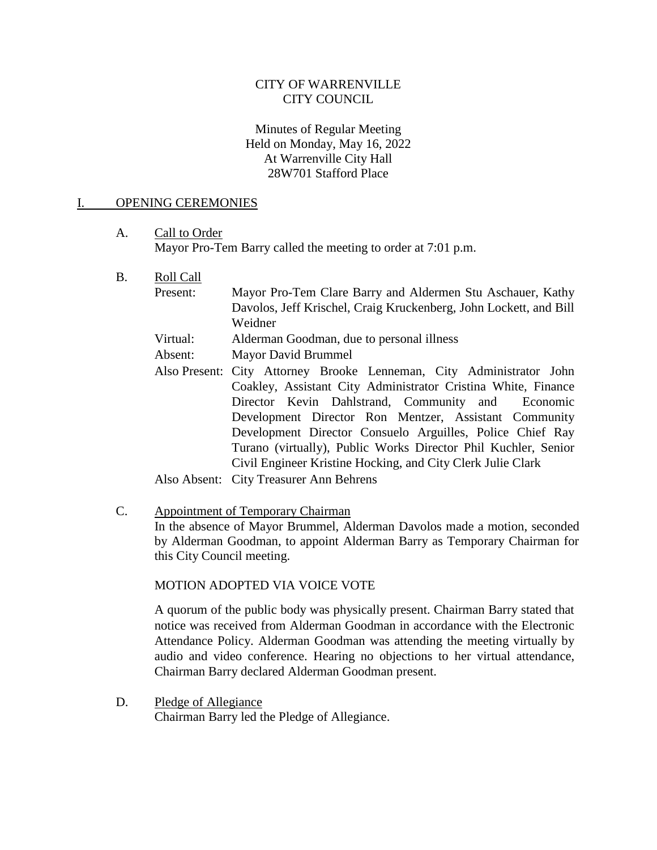# CITY OF WARRENVILLE CITY COUNCIL

### Minutes of Regular Meeting Held on Monday, May 16, 2022 At Warrenville City Hall 28W701 Stafford Place

#### I. OPENING CEREMONIES

A. Call to Order Mayor Pro-Tem Barry called the meeting to order at 7:01 p.m.

- B. Roll Call
	- Present: Mayor Pro-Tem Clare Barry and Aldermen Stu Aschauer, Kathy Davolos, Jeff Krischel, Craig Kruckenberg, John Lockett, and Bill Weidner
		- Virtual: Alderman Goodman, due to personal illness
		- Absent: Mayor David Brummel
		- Also Present: City Attorney Brooke Lenneman, City Administrator John Coakley, Assistant City Administrator Cristina White, Finance Director Kevin Dahlstrand, Community and Economic Development Director Ron Mentzer, Assistant Community Development Director Consuelo Arguilles, Police Chief Ray Turano (virtually), Public Works Director Phil Kuchler, Senior Civil Engineer Kristine Hocking, and City Clerk Julie Clark
		- Also Absent: City Treasurer Ann Behrens
- C. Appointment of Temporary Chairman In the absence of Mayor Brummel, Alderman Davolos made a motion, seconded by Alderman Goodman, to appoint Alderman Barry as Temporary Chairman for this City Council meeting.

#### MOTION ADOPTED VIA VOICE VOTE

A quorum of the public body was physically present. Chairman Barry stated that notice was received from Alderman Goodman in accordance with the Electronic Attendance Policy. Alderman Goodman was attending the meeting virtually by audio and video conference. Hearing no objections to her virtual attendance, Chairman Barry declared Alderman Goodman present.

D. Pledge of Allegiance Chairman Barry led the Pledge of Allegiance.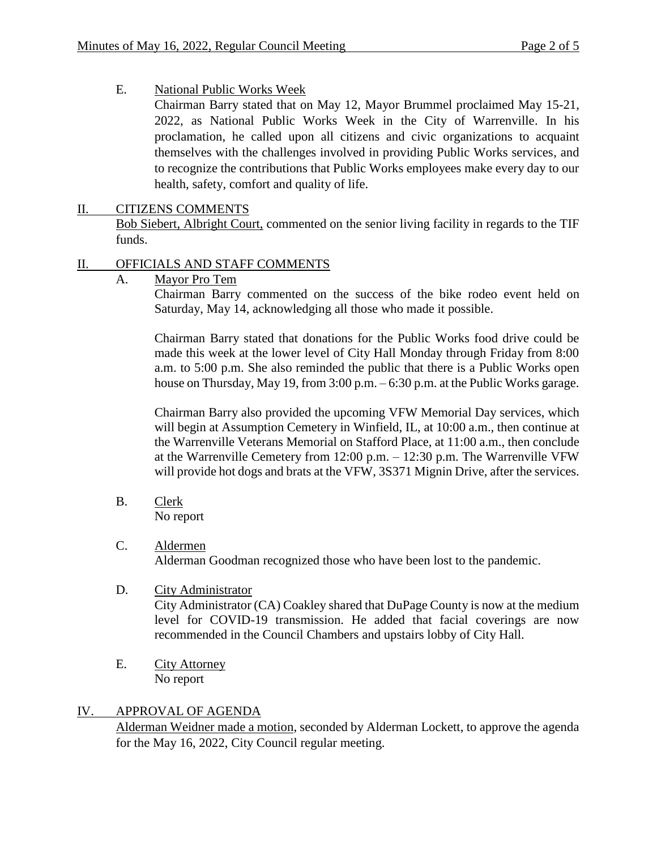E. National Public Works Week

Chairman Barry stated that on May 12, Mayor Brummel proclaimed May 15-21, 2022, as National Public Works Week in the City of Warrenville. In his proclamation, he called upon all citizens and civic organizations to acquaint themselves with the challenges involved in providing Public Works services, and to recognize the contributions that Public Works employees make every day to our health, safety, comfort and quality of life.

# II. CITIZENS COMMENTS

Bob Siebert, Albright Court, commented on the senior living facility in regards to the TIF funds.

# II. OFFICIALS AND STAFF COMMENTS

A. Mayor Pro Tem

Chairman Barry commented on the success of the bike rodeo event held on Saturday, May 14, acknowledging all those who made it possible.

Chairman Barry stated that donations for the Public Works food drive could be made this week at the lower level of City Hall Monday through Friday from 8:00 a.m. to 5:00 p.m. She also reminded the public that there is a Public Works open house on Thursday, May 19, from 3:00 p.m. – 6:30 p.m. at the Public Works garage.

Chairman Barry also provided the upcoming VFW Memorial Day services, which will begin at Assumption Cemetery in Winfield, IL, at 10:00 a.m., then continue at the Warrenville Veterans Memorial on Stafford Place, at 11:00 a.m., then conclude at the Warrenville Cemetery from 12:00 p.m. – 12:30 p.m. The Warrenville VFW will provide hot dogs and brats at the VFW, 3S371 Mignin Drive, after the services.

- B. Clerk No report
- C. Aldermen Alderman Goodman recognized those who have been lost to the pandemic.
- D. City Administrator

City Administrator (CA) Coakley shared that DuPage County is now at the medium level for COVID-19 transmission. He added that facial coverings are now recommended in the Council Chambers and upstairs lobby of City Hall.

E. City Attorney No report

# IV. APPROVAL OF AGENDA

Alderman Weidner made a motion, seconded by Alderman Lockett, to approve the agenda for the May 16, 2022, City Council regular meeting.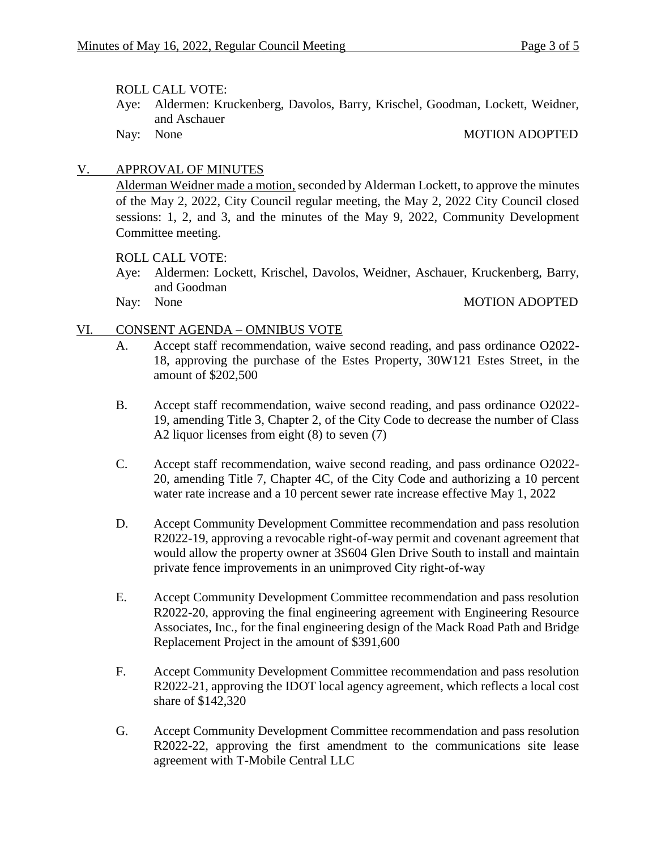#### ROLL CALL VOTE:

- Aye: Aldermen: Kruckenberg, Davolos, Barry, Krischel, Goodman, Lockett, Weidner, and Aschauer
- 

### Nay: None MOTION ADOPTED

## V. APPROVAL OF MINUTES

Alderman Weidner made a motion, seconded by Alderman Lockett, to approve the minutes of the May 2, 2022, City Council regular meeting, the May 2, 2022 City Council closed sessions: 1, 2, and 3, and the minutes of the May 9, 2022, Community Development Committee meeting.

## ROLL CALL VOTE:

- Aye: Aldermen: Lockett, Krischel, Davolos, Weidner, Aschauer, Kruckenberg, Barry, and Goodman
- 

#### Nay: None MOTION ADOPTED

## VI. CONSENT AGENDA – OMNIBUS VOTE

- A. Accept staff recommendation, waive second reading, and pass ordinance O2022- 18, approving the purchase of the Estes Property, 30W121 Estes Street, in the amount of \$202,500
- B. Accept staff recommendation, waive second reading, and pass ordinance O2022- 19, amending Title 3, Chapter 2, of the City Code to decrease the number of Class A2 liquor licenses from eight (8) to seven (7)
- C. Accept staff recommendation, waive second reading, and pass ordinance O2022- 20, amending Title 7, Chapter 4C, of the City Code and authorizing a 10 percent water rate increase and a 10 percent sewer rate increase effective May 1, 2022
- D. Accept Community Development Committee recommendation and pass resolution R2022-19, approving a revocable right-of-way permit and covenant agreement that would allow the property owner at 3S604 Glen Drive South to install and maintain private fence improvements in an unimproved City right-of-way
- E. Accept Community Development Committee recommendation and pass resolution R2022-20, approving the final engineering agreement with Engineering Resource Associates, Inc., for the final engineering design of the Mack Road Path and Bridge Replacement Project in the amount of \$391,600
- F. Accept Community Development Committee recommendation and pass resolution R2022-21, approving the IDOT local agency agreement, which reflects a local cost share of \$142,320
- G. Accept Community Development Committee recommendation and pass resolution R2022-22, approving the first amendment to the communications site lease agreement with T-Mobile Central LLC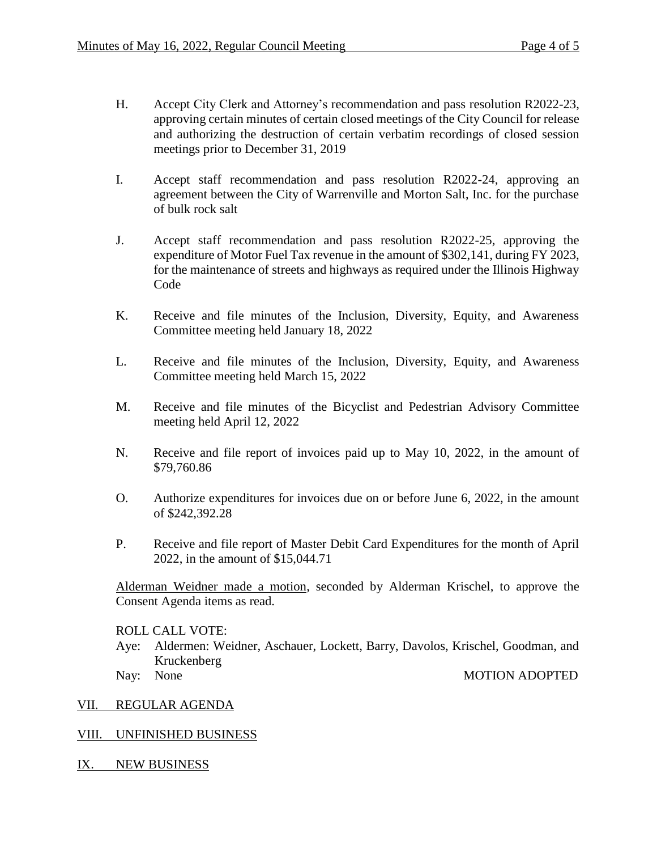- H. Accept City Clerk and Attorney's recommendation and pass resolution R2022-23, approving certain minutes of certain closed meetings of the City Council for release and authorizing the destruction of certain verbatim recordings of closed session meetings prior to December 31, 2019
- I. Accept staff recommendation and pass resolution R2022-24, approving an agreement between the City of Warrenville and Morton Salt, Inc. for the purchase of bulk rock salt
- J. Accept staff recommendation and pass resolution R2022-25, approving the expenditure of Motor Fuel Tax revenue in the amount of \$302,141, during FY 2023, for the maintenance of streets and highways as required under the Illinois Highway Code
- K. Receive and file minutes of the Inclusion, Diversity, Equity, and Awareness Committee meeting held January 18, 2022
- L. Receive and file minutes of the Inclusion, Diversity, Equity, and Awareness Committee meeting held March 15, 2022
- M. Receive and file minutes of the Bicyclist and Pedestrian Advisory Committee meeting held April 12, 2022
- N. Receive and file report of invoices paid up to May 10, 2022, in the amount of \$79,760.86
- O. Authorize expenditures for invoices due on or before June 6, 2022, in the amount of \$242,392.28
- P. Receive and file report of Master Debit Card Expenditures for the month of April 2022, in the amount of \$15,044.71

Alderman Weidner made a motion, seconded by Alderman Krischel, to approve the Consent Agenda items as read.

ROLL CALL VOTE:

- Aye: Aldermen: Weidner, Aschauer, Lockett, Barry, Davolos, Krischel, Goodman, and Kruckenberg Nay: None MOTION ADOPTED
- 

#### VII. REGULAR AGENDA

# VIII. UNFINISHED BUSINESS

IX. NEW BUSINESS